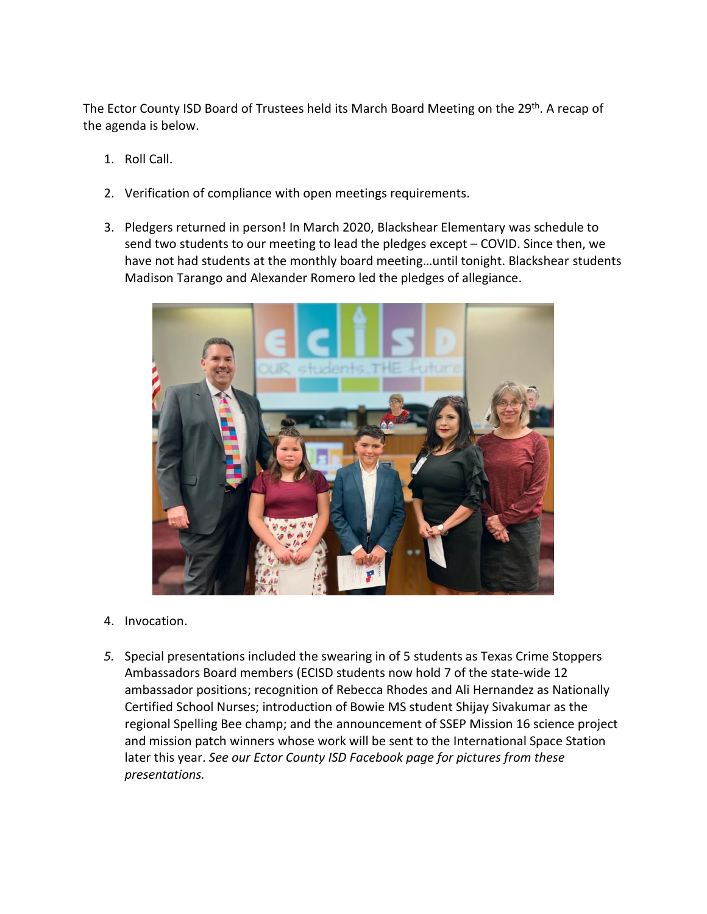The Ector County ISD Board of Trustees held its March Board Meeting on the 29<sup>th</sup>. A recap of the agenda is below.

- 1. Roll Call.
- 2. Verification of compliance with open meetings requirements.
- 3. Pledgers returned in person! In March 2020, Blackshear Elementary was schedule to send two students to our meeting to lead the pledges except – COVID. Since then, we have not had students at the monthly board meeting…until tonight. Blackshear students Madison Tarango and Alexander Romero led the pledges of allegiance.



- 4. Invocation.
- *5.* Special presentations included the swearing in of 5 students as Texas Crime Stoppers Ambassadors Board members (ECISD students now hold 7 of the state-wide 12 ambassador positions; recognition of Rebecca Rhodes and Ali Hernandez as Nationally Certified School Nurses; introduction of Bowie MS student Shijay Sivakumar as the regional Spelling Bee champ; and the announcement of SSEP Mission 16 science project and mission patch winners whose work will be sent to the International Space Station later this year. *See our Ector County ISD Facebook page for pictures from these presentations.*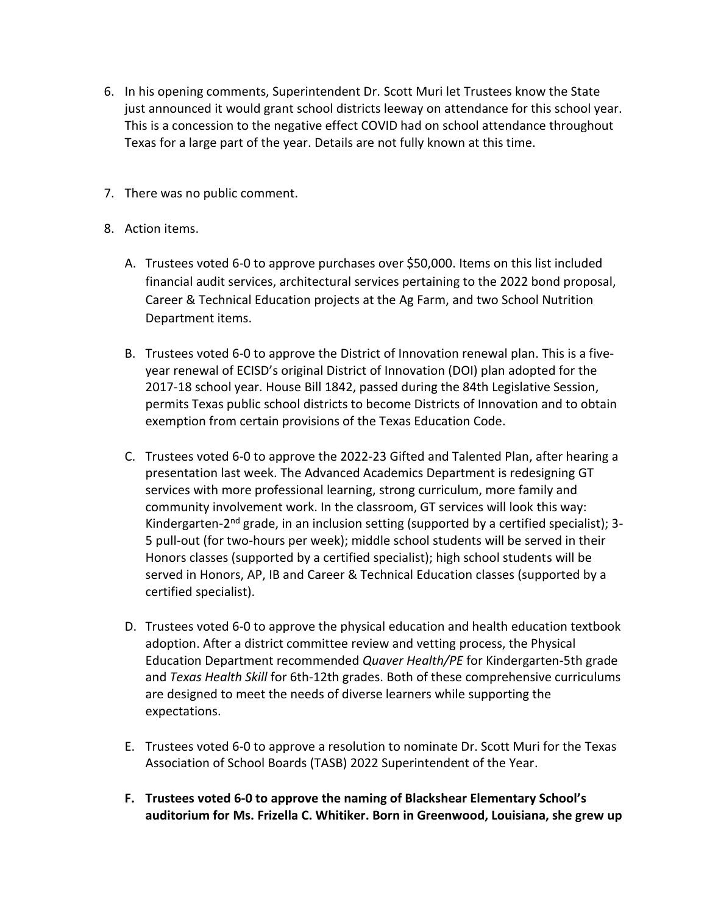- 6. In his opening comments, Superintendent Dr. Scott Muri let Trustees know the State just announced it would grant school districts leeway on attendance for this school year. This is a concession to the negative effect COVID had on school attendance throughout Texas for a large part of the year. Details are not fully known at this time.
- 7. There was no public comment.
- 8. Action items.
	- A. Trustees voted 6-0 to approve purchases over \$50,000. Items on this list included financial audit services, architectural services pertaining to the 2022 bond proposal, Career & Technical Education projects at the Ag Farm, and two School Nutrition Department items.
	- B. Trustees voted 6-0 to approve the District of Innovation renewal plan. This is a fiveyear renewal of ECISD's original District of Innovation (DOI) plan adopted for the 2017-18 school year. House Bill 1842, passed during the 84th Legislative Session, permits Texas public school districts to become Districts of Innovation and to obtain exemption from certain provisions of the Texas Education Code.
	- C. Trustees voted 6-0 to approve the 2022-23 Gifted and Talented Plan, after hearing a presentation last week. The Advanced Academics Department is redesigning GT services with more professional learning, strong curriculum, more family and community involvement work. In the classroom, GT services will look this way: Kindergarten-2<sup>nd</sup> grade, in an inclusion setting (supported by a certified specialist); 3-5 pull-out (for two-hours per week); middle school students will be served in their Honors classes (supported by a certified specialist); high school students will be served in Honors, AP, IB and Career & Technical Education classes (supported by a certified specialist).
	- D. Trustees voted 6-0 to approve the physical education and health education textbook adoption. After a district committee review and vetting process, the Physical Education Department recommended *Quaver Health/PE* for Kindergarten-5th grade and *Texas Health Skill* for 6th-12th grades. Both of these comprehensive curriculums are designed to meet the needs of diverse learners while supporting the expectations.
	- E. Trustees voted 6-0 to approve a resolution to nominate Dr. Scott Muri for the Texas Association of School Boards (TASB) 2022 Superintendent of the Year.
	- **F. Trustees voted 6-0 to approve the naming of Blackshear Elementary School's auditorium for Ms. Frizella C. Whitiker. Born in Greenwood, Louisiana, she grew up**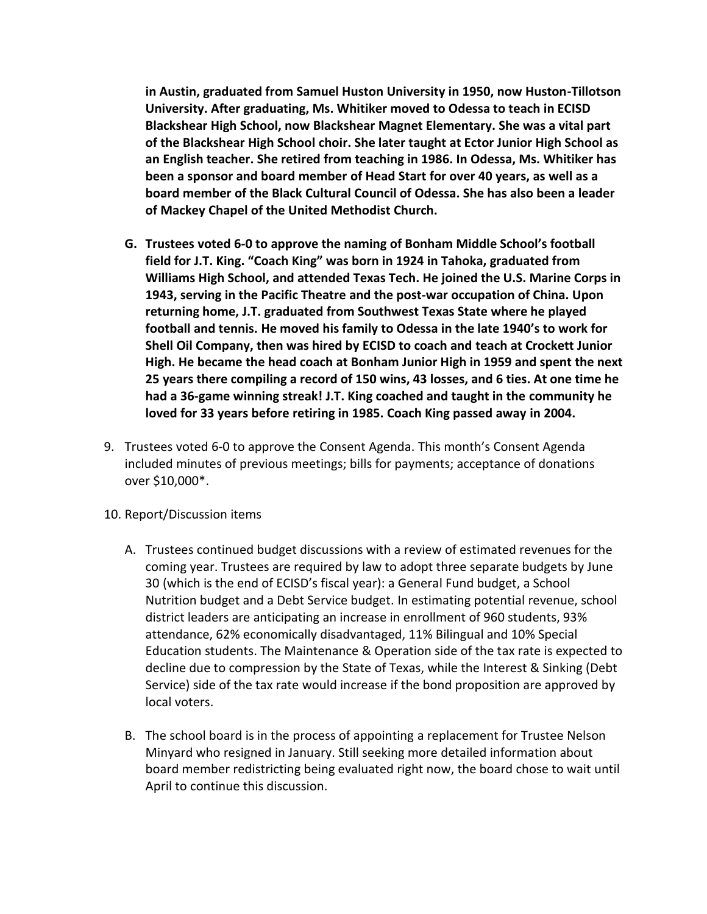**in Austin, graduated from Samuel Huston University in 1950, now Huston-Tillotson University. After graduating, Ms. Whitiker moved to Odessa to teach in ECISD Blackshear High School, now Blackshear Magnet Elementary. She was a vital part of the Blackshear High School choir. She later taught at Ector Junior High School as an English teacher. She retired from teaching in 1986. In Odessa, Ms. Whitiker has been a sponsor and board member of Head Start for over 40 years, as well as a board member of the Black Cultural Council of Odessa. She has also been a leader of Mackey Chapel of the United Methodist Church.**

- **G. Trustees voted 6-0 to approve the naming of Bonham Middle School's football field for J.T. King. "Coach King" was born in 1924 in Tahoka, graduated from Williams High School, and attended Texas Tech. He joined the U.S. Marine Corps in 1943, serving in the Pacific Theatre and the post-war occupation of China. Upon returning home, J.T. graduated from Southwest Texas State where he played football and tennis. He moved his family to Odessa in the late 1940's to work for Shell Oil Company, then was hired by ECISD to coach and teach at Crockett Junior High. He became the head coach at Bonham Junior High in 1959 and spent the next 25 years there compiling a record of 150 wins, 43 losses, and 6 ties. At one time he had a 36-game winning streak! J.T. King coached and taught in the community he loved for 33 years before retiring in 1985. Coach King passed away in 2004.**
- 9. Trustees voted 6-0 to approve the Consent Agenda. This month's Consent Agenda included minutes of previous meetings; bills for payments; acceptance of donations over \$10,000\*.
- 10. Report/Discussion items
	- A. Trustees continued budget discussions with a review of estimated revenues for the coming year. Trustees are required by law to adopt three separate budgets by June 30 (which is the end of ECISD's fiscal year): a General Fund budget, a School Nutrition budget and a Debt Service budget. In estimating potential revenue, school district leaders are anticipating an increase in enrollment of 960 students, 93% attendance, 62% economically disadvantaged, 11% Bilingual and 10% Special Education students. The Maintenance & Operation side of the tax rate is expected to decline due to compression by the State of Texas, while the Interest & Sinking (Debt Service) side of the tax rate would increase if the bond proposition are approved by local voters.
	- B. The school board is in the process of appointing a replacement for Trustee Nelson Minyard who resigned in January. Still seeking more detailed information about board member redistricting being evaluated right now, the board chose to wait until April to continue this discussion.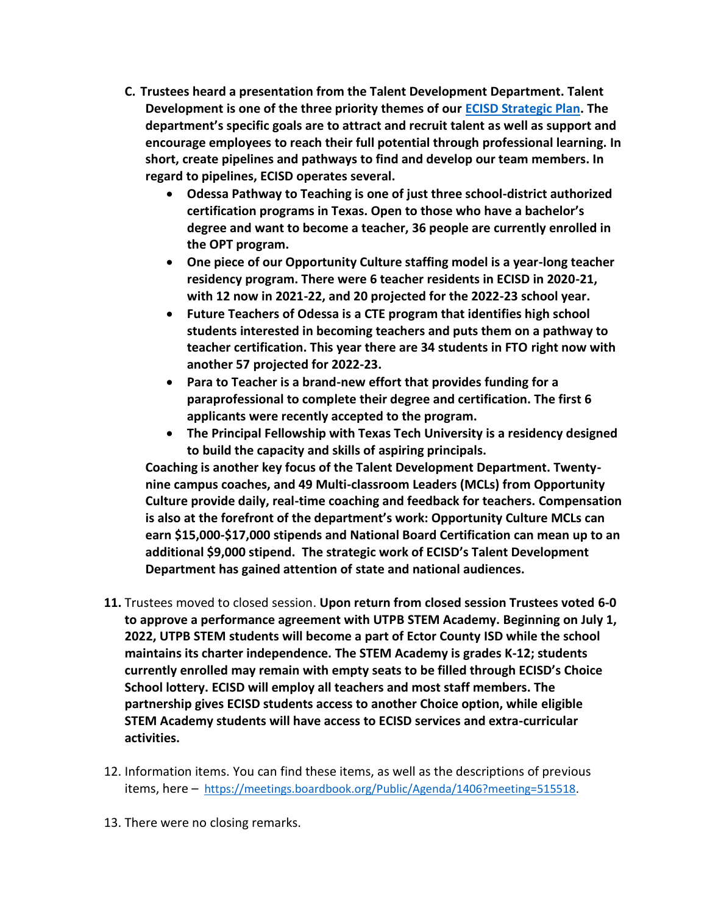- **C. Trustees heard a presentation from the Talent Development Department. Talent Development is one of the three priority themes of our [ECISD Strategic Plan.](https://www.ectorcountyisd.org/domain/129) The department's specific goals are to attract and recruit talent as well as support and encourage employees to reach their full potential through professional learning. In short, create pipelines and pathways to find and develop our team members. In regard to pipelines, ECISD operates several.** 
	- **Odessa Pathway to Teaching is one of just three school-district authorized certification programs in Texas. Open to those who have a bachelor's degree and want to become a teacher, 36 people are currently enrolled in the OPT program.**
	- **One piece of our Opportunity Culture staffing model is a year-long teacher residency program. There were 6 teacher residents in ECISD in 2020-21, with 12 now in 2021-22, and 20 projected for the 2022-23 school year.**
	- **Future Teachers of Odessa is a CTE program that identifies high school students interested in becoming teachers and puts them on a pathway to teacher certification. This year there are 34 students in FTO right now with another 57 projected for 2022-23.**
	- **Para to Teacher is a brand-new effort that provides funding for a paraprofessional to complete their degree and certification. The first 6 applicants were recently accepted to the program.**
	- **The Principal Fellowship with Texas Tech University is a residency designed to build the capacity and skills of aspiring principals.**

**Coaching is another key focus of the Talent Development Department. Twentynine campus coaches, and 49 Multi-classroom Leaders (MCLs) from Opportunity Culture provide daily, real-time coaching and feedback for teachers. Compensation is also at the forefront of the department's work: Opportunity Culture MCLs can earn \$15,000-\$17,000 stipends and National Board Certification can mean up to an additional \$9,000 stipend. The strategic work of ECISD's Talent Development Department has gained attention of state and national audiences.** 

- **11.** Trustees moved to closed session. **Upon return from closed session Trustees voted 6-0 to approve a performance agreement with UTPB STEM Academy. Beginning on July 1, 2022, UTPB STEM students will become a part of Ector County ISD while the school maintains its charter independence. The STEM Academy is grades K-12; students currently enrolled may remain with empty seats to be filled through ECISD's Choice School lottery. ECISD will employ all teachers and most staff members. The partnership gives ECISD students access to another Choice option, while eligible STEM Academy students will have access to ECISD services and extra-curricular activities.**
- 12. Information items. You can find these items, as well as the descriptions of previous items, here – [https://meetings.boardbook.org/Public/Agenda/1406?meeting=515518.](https://meetings.boardbook.org/Public/Agenda/1406?meeting=515518)
- 13. There were no closing remarks.